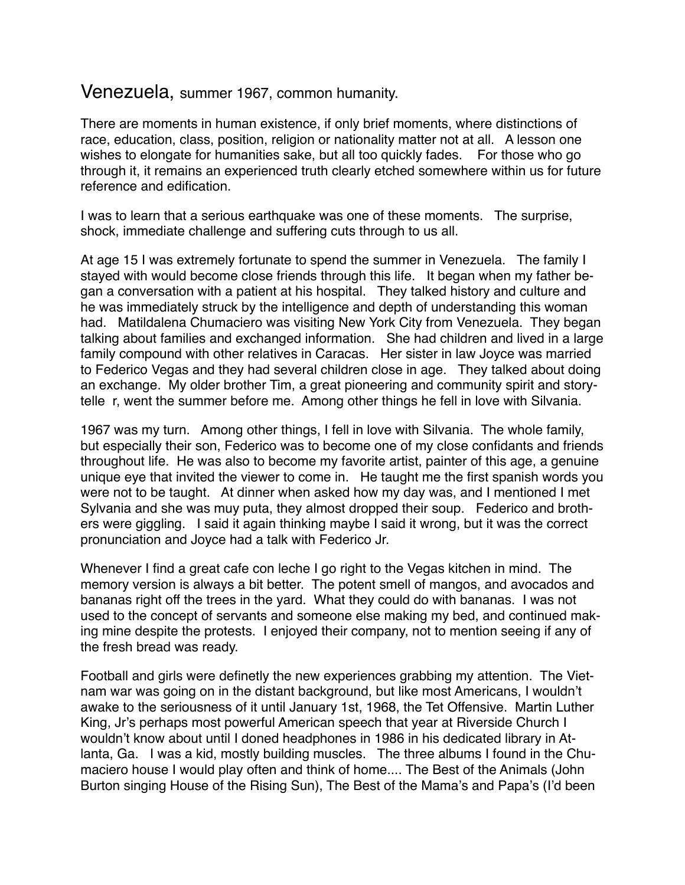## Venezuela, summer 1967, common humanity.

There are moments in human existence, if only brief moments, where distinctions of race, education, class, position, religion or nationality matter not at all. A lesson one wishes to elongate for humanities sake, but all too quickly fades. For those who go through it, it remains an experienced truth clearly etched somewhere within us for future reference and edification.

I was to learn that a serious earthquake was one of these moments. The surprise, shock, immediate challenge and suffering cuts through to us all.

At age 15 I was extremely fortunate to spend the summer in Venezuela. The family I stayed with would become close friends through this life. It began when my father began a conversation with a patient at his hospital. They talked history and culture and he was immediately struck by the intelligence and depth of understanding this woman had. Matildalena Chumaciero was visiting New York City from Venezuela. They began talking about families and exchanged information. She had children and lived in a large family compound with other relatives in Caracas. Her sister in law Joyce was married to Federico Vegas and they had several children close in age. They talked about doing an exchange. My older brother Tim, a great pioneering and community spirit and storytelle r, went the summer before me. Among other things he fell in love with Silvania.

1967 was my turn. Among other things, I fell in love with Silvania. The whole family, but especially their son, Federico was to become one of my close confidants and friends throughout life. He was also to become my favorite artist, painter of this age, a genuine unique eye that invited the viewer to come in. He taught me the first spanish words you were not to be taught. At dinner when asked how my day was, and I mentioned I met Sylvania and she was muy puta, they almost dropped their soup. Federico and brothers were giggling. I said it again thinking maybe I said it wrong, but it was the correct pronunciation and Joyce had a talk with Federico Jr.

Whenever I find a great cafe con leche I go right to the Vegas kitchen in mind. The memory version is always a bit better. The potent smell of mangos, and avocados and bananas right off the trees in the yard. What they could do with bananas. I was not used to the concept of servants and someone else making my bed, and continued making mine despite the protests. I enjoyed their company, not to mention seeing if any of the fresh bread was ready.

Football and girls were definetly the new experiences grabbing my attention. The Vietnam war was going on in the distant background, but like most Americans, I wouldn't awake to the seriousness of it until January 1st, 1968, the Tet Offensive. Martin Luther King, Jr's perhaps most powerful American speech that year at Riverside Church I wouldn't know about until I doned headphones in 1986 in his dedicated library in Atlanta, Ga. I was a kid, mostly building muscles. The three albums I found in the Chumaciero house I would play often and think of home.... The Best of the Animals (John Burton singing House of the Rising Sun), The Best of the Mama's and Papa's (I'd been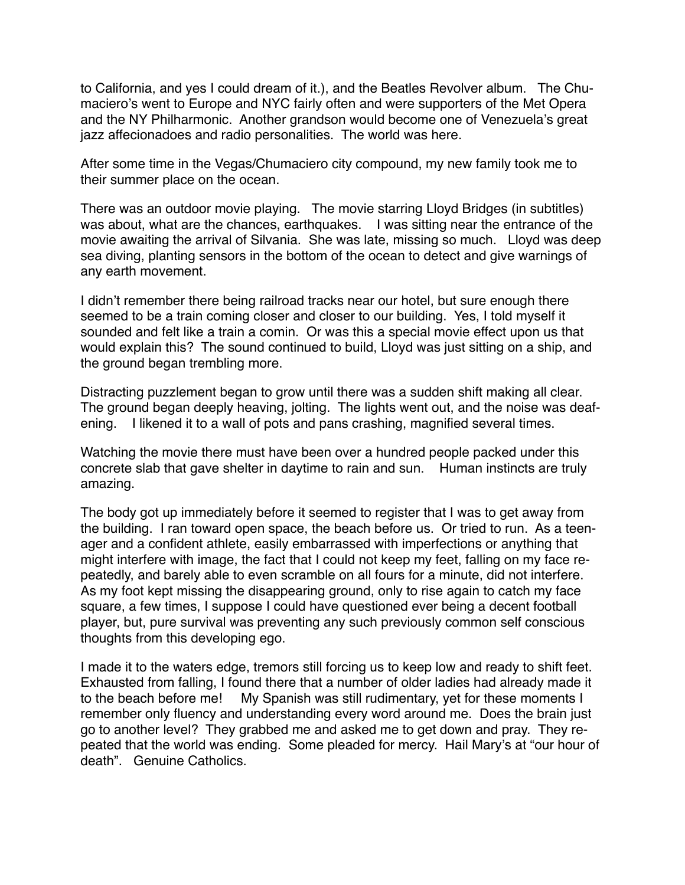to California, and yes I could dream of it.), and the Beatles Revolver album. The Chumaciero's went to Europe and NYC fairly often and were supporters of the Met Opera and the NY Philharmonic. Another grandson would become one of Venezuela's great jazz affecionadoes and radio personalities. The world was here.

After some time in the Vegas/Chumaciero city compound, my new family took me to their summer place on the ocean.

There was an outdoor movie playing. The movie starring Lloyd Bridges (in subtitles) was about, what are the chances, earthquakes. I was sitting near the entrance of the movie awaiting the arrival of Silvania. She was late, missing so much. Lloyd was deep sea diving, planting sensors in the bottom of the ocean to detect and give warnings of any earth movement.

I didn't remember there being railroad tracks near our hotel, but sure enough there seemed to be a train coming closer and closer to our building. Yes, I told myself it sounded and felt like a train a comin. Or was this a special movie effect upon us that would explain this? The sound continued to build, Lloyd was just sitting on a ship, and the ground began trembling more.

Distracting puzzlement began to grow until there was a sudden shift making all clear. The ground began deeply heaving, jolting. The lights went out, and the noise was deafening. I likened it to a wall of pots and pans crashing, magnified several times.

Watching the movie there must have been over a hundred people packed under this concrete slab that gave shelter in daytime to rain and sun. Human instincts are truly amazing.

The body got up immediately before it seemed to register that I was to get away from the building. I ran toward open space, the beach before us. Or tried to run. As a teenager and a confident athlete, easily embarrassed with imperfections or anything that might interfere with image, the fact that I could not keep my feet, falling on my face repeatedly, and barely able to even scramble on all fours for a minute, did not interfere. As my foot kept missing the disappearing ground, only to rise again to catch my face square, a few times, I suppose I could have questioned ever being a decent football player, but, pure survival was preventing any such previously common self conscious thoughts from this developing ego.

I made it to the waters edge, tremors still forcing us to keep low and ready to shift feet. Exhausted from falling, I found there that a number of older ladies had already made it to the beach before me! My Spanish was still rudimentary, yet for these moments I remember only fluency and understanding every word around me. Does the brain just go to another level? They grabbed me and asked me to get down and pray. They repeated that the world was ending. Some pleaded for mercy. Hail Mary's at "our hour of death". Genuine Catholics.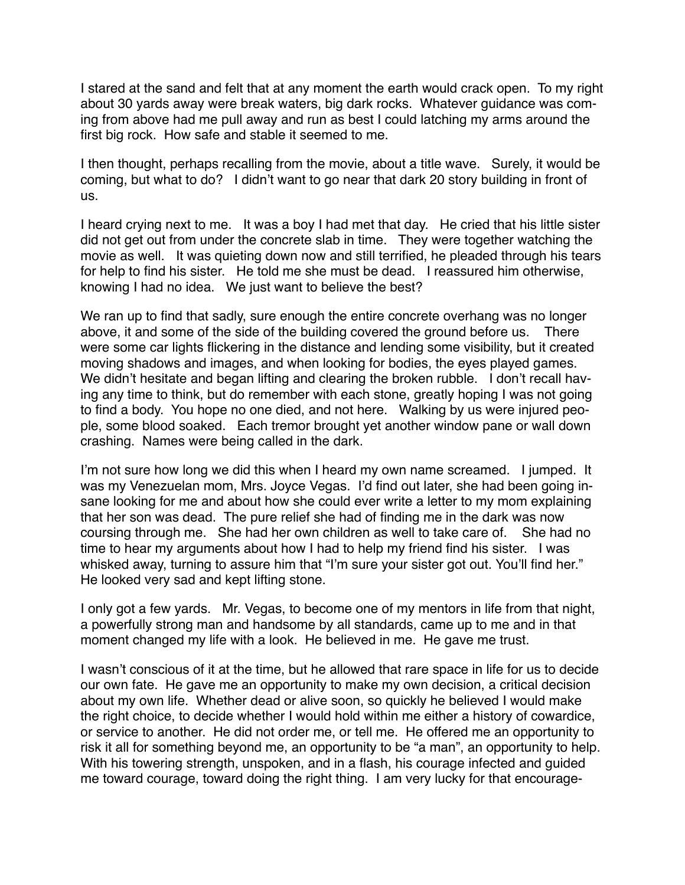I stared at the sand and felt that at any moment the earth would crack open. To my right about 30 yards away were break waters, big dark rocks. Whatever guidance was coming from above had me pull away and run as best I could latching my arms around the first big rock. How safe and stable it seemed to me.

I then thought, perhaps recalling from the movie, about a title wave. Surely, it would be coming, but what to do? I didn't want to go near that dark 20 story building in front of us.

I heard crying next to me. It was a boy I had met that day. He cried that his little sister did not get out from under the concrete slab in time. They were together watching the movie as well. It was quieting down now and still terrified, he pleaded through his tears for help to find his sister. He told me she must be dead. I reassured him otherwise, knowing I had no idea. We just want to believe the best?

We ran up to find that sadly, sure enough the entire concrete overhang was no longer above, it and some of the side of the building covered the ground before us. There were some car lights flickering in the distance and lending some visibility, but it created moving shadows and images, and when looking for bodies, the eyes played games. We didn't hesitate and began lifting and clearing the broken rubble. I don't recall having any time to think, but do remember with each stone, greatly hoping I was not going to find a body. You hope no one died, and not here. Walking by us were injured people, some blood soaked. Each tremor brought yet another window pane or wall down crashing. Names were being called in the dark.

I'm not sure how long we did this when I heard my own name screamed. I jumped. It was my Venezuelan mom, Mrs. Joyce Vegas. I'd find out later, she had been going insane looking for me and about how she could ever write a letter to my mom explaining that her son was dead. The pure relief she had of finding me in the dark was now coursing through me. She had her own children as well to take care of. She had no time to hear my arguments about how I had to help my friend find his sister. I was whisked away, turning to assure him that "I'm sure your sister got out. You'll find her." He looked very sad and kept lifting stone.

I only got a few yards. Mr. Vegas, to become one of my mentors in life from that night, a powerfully strong man and handsome by all standards, came up to me and in that moment changed my life with a look. He believed in me. He gave me trust.

I wasn't conscious of it at the time, but he allowed that rare space in life for us to decide our own fate. He gave me an opportunity to make my own decision, a critical decision about my own life. Whether dead or alive soon, so quickly he believed I would make the right choice, to decide whether I would hold within me either a history of cowardice, or service to another. He did not order me, or tell me. He offered me an opportunity to risk it all for something beyond me, an opportunity to be "a man", an opportunity to help. With his towering strength, unspoken, and in a flash, his courage infected and guided me toward courage, toward doing the right thing. I am very lucky for that encourage-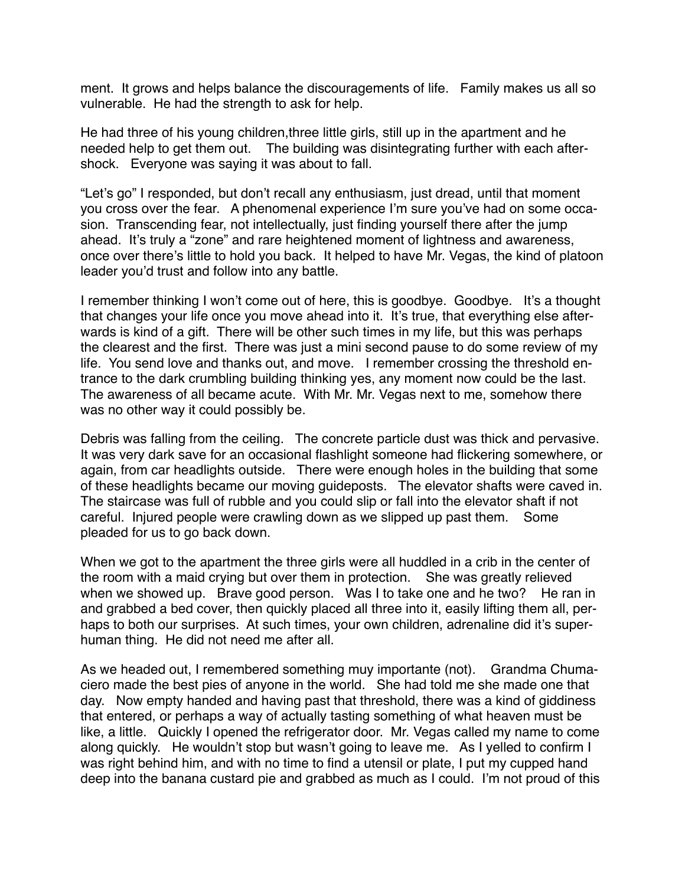ment. It grows and helps balance the discouragements of life. Family makes us all so vulnerable. He had the strength to ask for help.

He had three of his young children,three little girls, still up in the apartment and he needed help to get them out. The building was disintegrating further with each aftershock. Everyone was saying it was about to fall.

"Let's go" I responded, but don't recall any enthusiasm, just dread, until that moment you cross over the fear. A phenomenal experience I'm sure you've had on some occasion. Transcending fear, not intellectually, just finding yourself there after the jump ahead. It's truly a "zone" and rare heightened moment of lightness and awareness, once over there's little to hold you back. It helped to have Mr. Vegas, the kind of platoon leader you'd trust and follow into any battle.

I remember thinking I won't come out of here, this is goodbye. Goodbye. It's a thought that changes your life once you move ahead into it. It's true, that everything else afterwards is kind of a gift. There will be other such times in my life, but this was perhaps the clearest and the first. There was just a mini second pause to do some review of my life. You send love and thanks out, and move. I remember crossing the threshold entrance to the dark crumbling building thinking yes, any moment now could be the last. The awareness of all became acute. With Mr. Mr. Vegas next to me, somehow there was no other way it could possibly be.

Debris was falling from the ceiling. The concrete particle dust was thick and pervasive. It was very dark save for an occasional flashlight someone had flickering somewhere, or again, from car headlights outside. There were enough holes in the building that some of these headlights became our moving guideposts. The elevator shafts were caved in. The staircase was full of rubble and you could slip or fall into the elevator shaft if not careful. Injured people were crawling down as we slipped up past them. Some pleaded for us to go back down.

When we got to the apartment the three girls were all huddled in a crib in the center of the room with a maid crying but over them in protection. She was greatly relieved when we showed up. Brave good person. Was I to take one and he two? He ran in and grabbed a bed cover, then quickly placed all three into it, easily lifting them all, perhaps to both our surprises. At such times, your own children, adrenaline did it's superhuman thing. He did not need me after all.

As we headed out, I remembered something muy importante (not). Grandma Chumaciero made the best pies of anyone in the world. She had told me she made one that day. Now empty handed and having past that threshold, there was a kind of giddiness that entered, or perhaps a way of actually tasting something of what heaven must be like, a little. Quickly I opened the refrigerator door. Mr. Vegas called my name to come along quickly. He wouldn't stop but wasn't going to leave me. As I yelled to confirm I was right behind him, and with no time to find a utensil or plate, I put my cupped hand deep into the banana custard pie and grabbed as much as I could. I'm not proud of this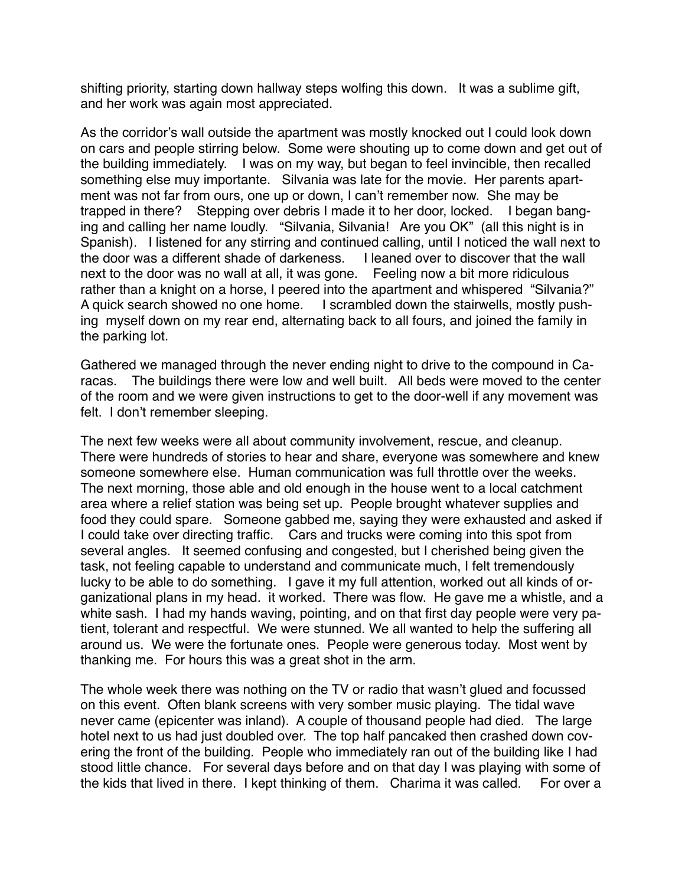shifting priority, starting down hallway steps wolfing this down. It was a sublime gift, and her work was again most appreciated.

As the corridor's wall outside the apartment was mostly knocked out I could look down on cars and people stirring below. Some were shouting up to come down and get out of the building immediately. I was on my way, but began to feel invincible, then recalled something else muy importante. Silvania was late for the movie. Her parents apartment was not far from ours, one up or down, I can't remember now. She may be trapped in there? Stepping over debris I made it to her door, locked. I began banging and calling her name loudly. "Silvania, Silvania! Are you OK" (all this night is in Spanish). I listened for any stirring and continued calling, until I noticed the wall next to the door was a different shade of darkeness. I leaned over to discover that the wall next to the door was no wall at all, it was gone. Feeling now a bit more ridiculous rather than a knight on a horse, I peered into the apartment and whispered "Silvania?" A quick search showed no one home. I scrambled down the stairwells, mostly pushing myself down on my rear end, alternating back to all fours, and joined the family in the parking lot.

Gathered we managed through the never ending night to drive to the compound in Caracas. The buildings there were low and well built. All beds were moved to the center of the room and we were given instructions to get to the door-well if any movement was felt. I don't remember sleeping.

The next few weeks were all about community involvement, rescue, and cleanup. There were hundreds of stories to hear and share, everyone was somewhere and knew someone somewhere else. Human communication was full throttle over the weeks. The next morning, those able and old enough in the house went to a local catchment area where a relief station was being set up. People brought whatever supplies and food they could spare. Someone gabbed me, saying they were exhausted and asked if I could take over directing traffic. Cars and trucks were coming into this spot from several angles. It seemed confusing and congested, but I cherished being given the task, not feeling capable to understand and communicate much, I felt tremendously lucky to be able to do something. I gave it my full attention, worked out all kinds of organizational plans in my head. it worked. There was flow. He gave me a whistle, and a white sash. I had my hands waving, pointing, and on that first day people were very patient, tolerant and respectful. We were stunned. We all wanted to help the suffering all around us. We were the fortunate ones. People were generous today. Most went by thanking me. For hours this was a great shot in the arm.

The whole week there was nothing on the TV or radio that wasn't glued and focussed on this event. Often blank screens with very somber music playing. The tidal wave never came (epicenter was inland). A couple of thousand people had died. The large hotel next to us had just doubled over. The top half pancaked then crashed down covering the front of the building. People who immediately ran out of the building like I had stood little chance. For several days before and on that day I was playing with some of the kids that lived in there. I kept thinking of them. Charima it was called. For over a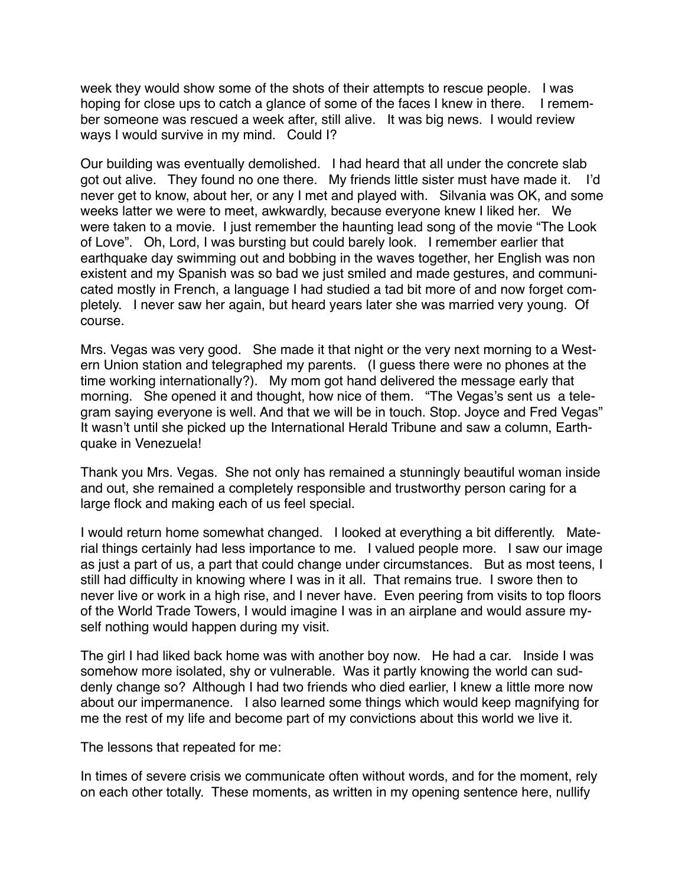week they would show some of the shots of their attempts to rescue people. I was hoping for close ups to catch a glance of some of the faces I knew in there. I remember someone was rescued a week after, still alive. It was big news. I would review ways I would survive in my mind. Could I?

Our building was eventually demolished. I had heard that all under the concrete slab got out alive. They found no one there. My friends little sister must have made it. I'd never get to know, about her, or any I met and played with. Silvania was OK, and some weeks latter we were to meet, awkwardly, because everyone knew I liked her. We were taken to a movie. I just remember the haunting lead song of the movie "The Look of Love". Oh, Lord, I was bursting but could barely look. I remember earlier that earthquake day swimming out and bobbing in the waves together, her English was non existent and my Spanish was so bad we just smiled and made gestures, and communicated mostly in French, a language I had studied a tad bit more of and now forget completely. I never saw her again, but heard years later she was married very young. Of course.

Mrs. Vegas was very good. She made it that night or the very next morning to a Western Union station and telegraphed my parents. (I guess there were no phones at the time working internationally?). My mom got hand delivered the message early that morning. She opened it and thought, how nice of them. "The Vegas's sent us a telegram saying everyone is well. And that we will be in touch. Stop. Joyce and Fred Vegas" It wasn't until she picked up the International Herald Tribune and saw a column, Earthquake in Venezuela!

Thank you Mrs. Vegas. She not only has remained a stunningly beautiful woman inside and out, she remained a completely responsible and trustworthy person caring for a large flock and making each of us feel special.

I would return home somewhat changed. I looked at everything a bit differently. Material things certainly had less importance to me. I valued people more. I saw our image as just a part of us, a part that could change under circumstances. But as most teens, I still had difficulty in knowing where I was in it all. That remains true. I swore then to never live or work in a high rise, and I never have. Even peering from visits to top floors of the World Trade Towers, I would imagine I was in an airplane and would assure myself nothing would happen during my visit.

The girl I had liked back home was with another boy now. He had a car. Inside I was somehow more isolated, shy or vulnerable. Was it partly knowing the world can suddenly change so? Although I had two friends who died earlier, I knew a little more now about our impermanence. I also learned some things which would keep magnifying for me the rest of my life and become part of my convictions about this world we live it.

The lessons that repeated for me:

In times of severe crisis we communicate often without words, and for the moment, rely on each other totally. These moments, as written in my opening sentence here, nullify